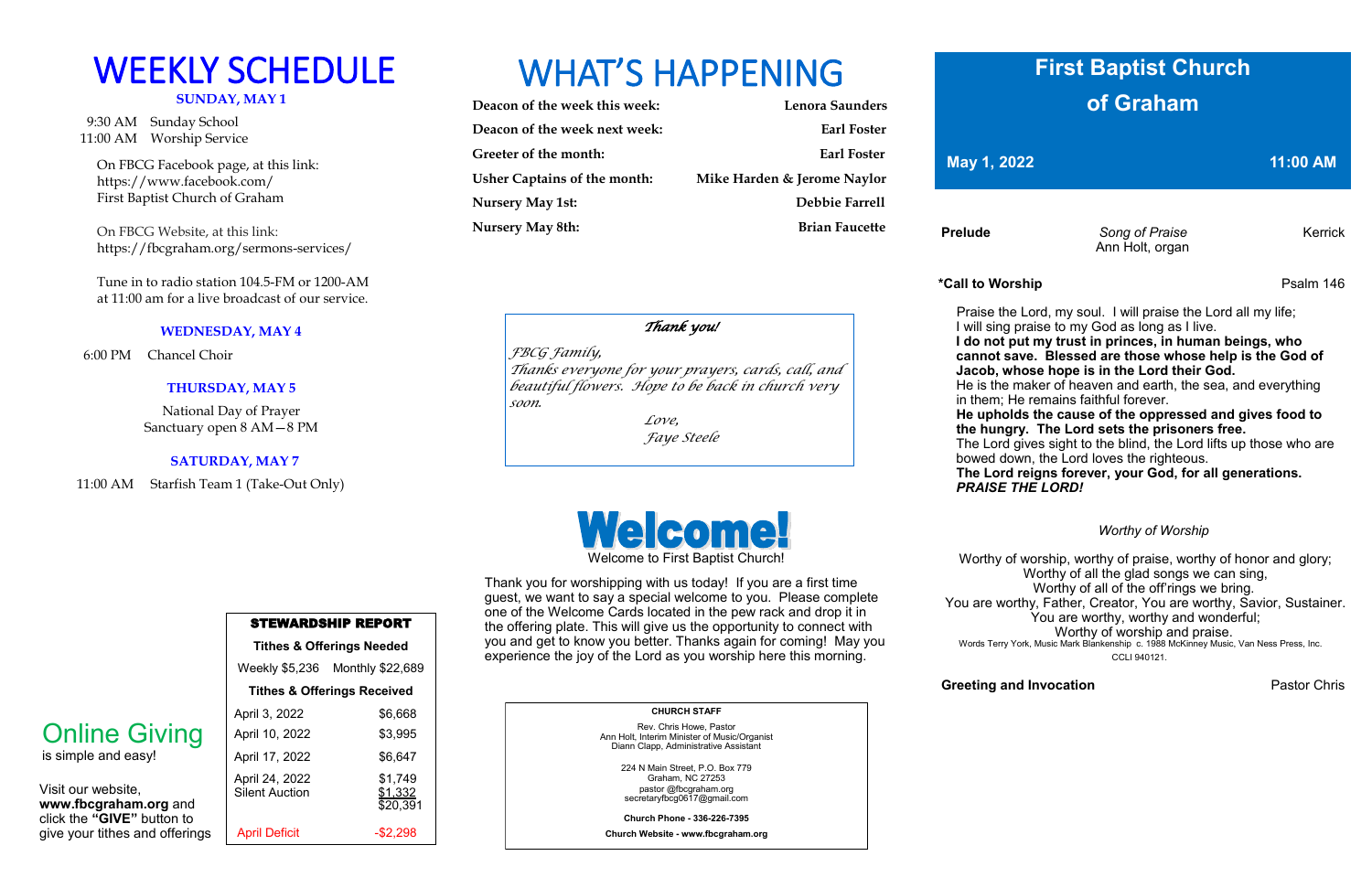# **SUNDAY, MAY 1**

 9:30 AM Sunday School 11:00 AM Worship Service

 On FBCG Facebook page, at this link: [https://www.facebook.com/](https://www.facebook.com/First%20Baptist%20Church%20of%20Graham)  [First Baptist Church of Graham](https://www.facebook.com/First%20Baptist%20Church%20of%20Graham)

 On FBCG Website, at this link: <https://fbcgraham.org/sermons-services/>

 Tune in to radio station 104.5-FM or 1200-AM at 11:00 am for a live broadcast of our service.

### **WEDNESDAY, MAY 4**

6:00 PM Chancel Choir

### **Tithes & Offerings Needed** Weekly \$5,236 Monthly \$22,689 **Tithes & Offerings Received** April 3, 2022 \$6,668 April 10, 2022 \$3,995 April 17, 2022 \$6,647 April 24, 2022 \$1,749 Silent Auction \$1,332 \$20,391 April Deficit -\$2,298

### **THURSDAY, MAY 5**

National Day of Prayer Sanctuary open 8 AM—8 PM

#### **SATURDAY, MAY 7**

11:00 AM Starfish Team 1 (Take-Out Only)

## WEEKLY SCHEDULE WHAT'S HAPPENING

| Deacon of the week this week:       | Lenora Saunders             |
|-------------------------------------|-----------------------------|
| Deacon of the week next week:       | <b>Earl Foster</b>          |
| Greeter of the month:               | <b>Earl Foster</b>          |
| <b>Usher Captains of the month:</b> | Mike Harden & Jerome Naylor |
| <b>Nursery May 1st:</b>             | Debbie Farrell              |
| <b>Nursery May 8th:</b>             | <b>Brian Faucette</b>       |
|                                     |                             |

**Prelude Song of Praise Kerrick** Ann Holt, organ

STEWARDSHIP REPORT

Visit our website, **www.fbcgraham.org** and click the **"GIVE"** button to give your tithes and offerings

### Online Giving

is simple and easy!

 **CHURCH STAFF** Rev. Chris Howe, Pastor Ann Holt, Interim Minister of Music/Organist

Diann Clapp, Administrative Assistant 224 N Main Street, P.O. Box 779 Graham, NC 27253

pastor @fbcgraham.org secretaryfbcg0617@gmail.com

**Church Phone - 336-226-7395**

**Church Website - www.fbcgraham.org**

### **\*Call to Worship** Psalm 146

### **Greeting and Invocation Chris** Pastor Chris

 Praise the Lord, my soul. I will praise the Lord all my life; I will sing praise to my God as long as I live.

 **I do not put my trust in princes, in human beings, who cannot save. Blessed are those whose help is the God of Jacob, whose hope is in the Lord their God.**

 He is the maker of heaven and earth, the sea, and everything in them; He remains faithful forever.

 **He upholds the cause of the oppressed and gives food to the hungry. The Lord sets the prisoners free.**

 The Lord gives sight to the blind, the Lord lifts up those who are bowed down, the Lord loves the righteous.

 **The Lord reigns forever, your God, for all generations.**  *PRAISE THE LORD!*

*Worthy of Worship*

Worthy of worship, worthy of praise, worthy of honor and glory; Worthy of all the glad songs we can sing, Worthy of all of the off'rings we bring. You are worthy, Father, Creator, You are worthy, Savior, Sustainer. You are worthy, worthy and wonderful; Worthy of worship and praise. Words Terry York, Music Mark Blankenship c. 1988 McKinney Music, Van Ness Press, Inc. CCLI 940121.

Welcome to First Baptist Church!

Thank you for worshipping with us today! If you are a first time guest, we want to say a special welcome to you. Please complete one of the Welcome Cards located in the pew rack and drop it in the offering plate. This will give us the opportunity to connect with you and get to know you better. Thanks again for coming! May you experience the joy of the Lord as you worship here this morning.

### **First Baptist Church of Graham**

### **May 1, 2022** 11:00 AM

### *Thank you!*

*FBCG Family, Thanks everyone for your prayers, cards, call, and beautiful flowers. Hope to be back in church very soon.* 

> *Love, Faye Steele*